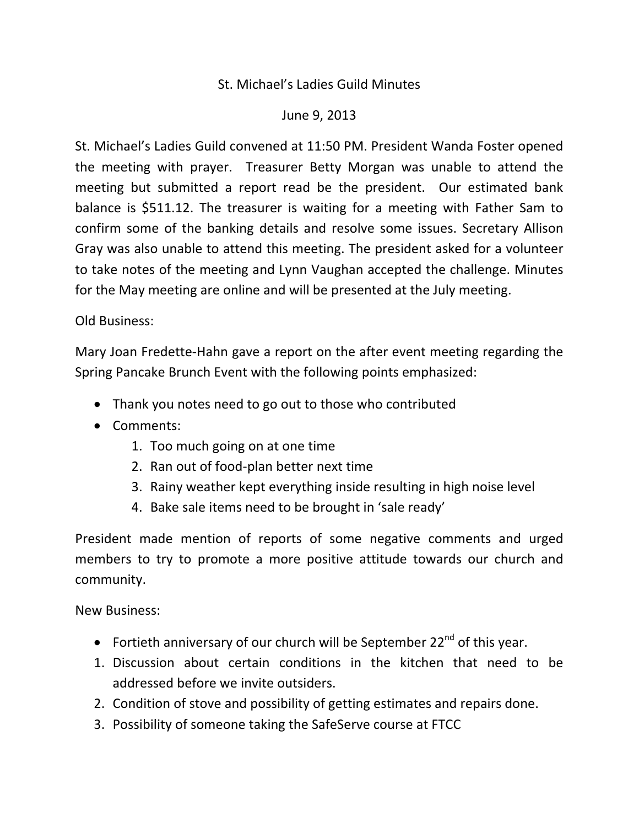## St. Michael's Ladies Guild Minutes

## June 9, 2013

St. Michael's Ladies Guild convened at 11:50 PM. President Wanda Foster opened the meeting with prayer. Treasurer Betty Morgan was unable to attend the meeting but submitted a report read be the president. Our estimated bank balance is \$511.12. The treasurer is waiting for a meeting with Father Sam to confirm some of the banking details and resolve some issues. Secretary Allison Gray was also unable to attend this meeting. The president asked for a volunteer to take notes of the meeting and Lynn Vaughan accepted the challenge. Minutes for the May meeting are online and will be presented at the July meeting.

## Old Business:

Mary Joan Fredette‐Hahn gave a report on the after event meeting regarding the Spring Pancake Brunch Event with the following points emphasized:

- Thank you notes need to go out to those who contributed
- Comments:
	- 1. Too much going on at one time
	- 2. Ran out of food‐plan better next time
	- 3. Rainy weather kept everything inside resulting in high noise level
	- 4. Bake sale items need to be brought in 'sale ready'

President made mention of reports of some negative comments and urged members to try to promote a more positive attitude towards our church and community.

New Business:

- Fortieth anniversary of our church will be September 22<sup>nd</sup> of this year.
- 1. Discussion about certain conditions in the kitchen that need to be addressed before we invite outsiders.
- 2. Condition of stove and possibility of getting estimates and repairs done.
- 3. Possibility of someone taking the SafeServe course at FTCC